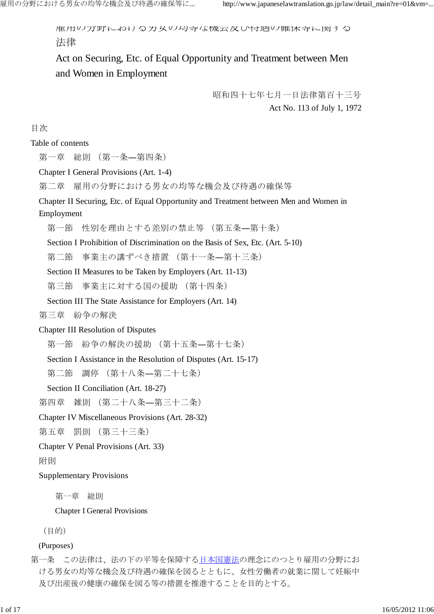雇用の分野における男女の均等な機会及び待遇の確保等に関する 法律

Act on Securing, Etc. of Equal Opportunity and Treatment between Men and Women in Employment

> 昭和四十七年七月一日法律第百十三号 Act No. 113 of July 1, 1972

目次

Table of contents

第一章 総則 (第一条―第四条)

Chapter I General Provisions (Art. 1-4)

第二章 雇用の分野における男女の均等な機会及び待遇の確保等

Chapter II Securing, Etc. of Equal Opportunity and Treatment between Men and Women in Employment

第一節 性別を理由とする差別の禁止等 (第五条―第十条)

Section I Prohibition of Discrimination on the Basis of Sex, Etc. (Art. 5-10)

第二節 事業主の講ずべき措置 (第十一条―第十三条)

Section II Measures to be Taken by Employers (Art. 11-13)

第三節 事業主に対する国の援助 (第十四条)

Section III The State Assistance for Employers (Art. 14)

第三章 紛争の解決

Chapter III Resolution of Disputes

第一節 紛争の解決の援助 (第十五条―第十七条)

Section I Assistance in the Resolution of Disputes (Art. 15-17)

第二節 調停 (第十八条―第二十七条)

Section II Conciliation (Art. 18-27)

第四章 雑則 (第二十八条―第三十二条)

Chapter IV Miscellaneous Provisions (Art. 28-32)

第五章 罰則 (第三十三条)

Chapter V Penal Provisions (Art. 33)

附則

Supplementary Provisions

第一章 総則

Chapter I General Provisions

(目的)

(Purposes)

第一条 この法律は、法の下の平等を保障する日本国憲法の理念にのつとり雇用の分野にお ける男女の均等な機会及び待遇の確保を図るとともに、女性労働者の就業に関して妊娠中 及び出産後の健康の確保を図る等の措置を推進することを目的とする。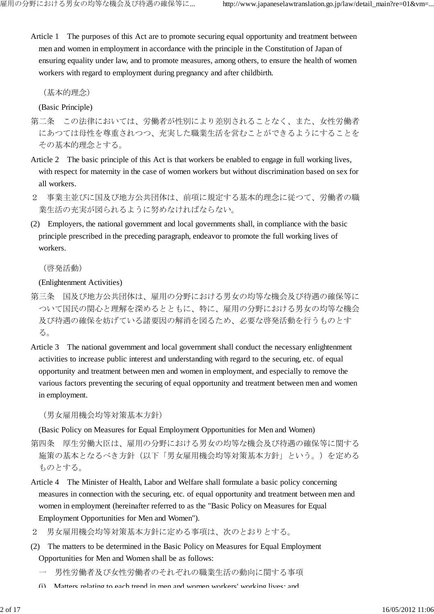Article 1 The purposes of this Act are to promote securing equal opportunity and treatment between men and women in employment in accordance with the principle in the Constitution of Japan of ensuring equality under law, and to promote measures, among others, to ensure the health of women workers with regard to employment during pregnancy and after childbirth.

(基本的理念)

(Basic Principle)

- 第二条 この法律においては、労働者が性別により差別されることなく、また、女性労働者 にあつては母性を尊重されつつ、充実した職業生活を営むことができるようにすることを その基本的理念とする。
- Article 2 The basic principle of this Act is that workers be enabled to engage in full working lives, with respect for maternity in the case of women workers but without discrimination based on sex for all workers.
- 2 事業主並びに国及び地方公共団体は、前項に規定する基本的理念に従つて、労働者の職 業生活の充実が図られるように努めなければならない。
- (2) Employers, the national government and local governments shall, in compliance with the basic principle prescribed in the preceding paragraph, endeavor to promote the full working lives of workers.

(啓発活動)

(Enlightenment Activities)

- 第三条 国及び地方公共団体は、雇用の分野における男女の均等な機会及び待遇の確保等に ついて国民の関心と理解を深めるとともに、特に、雇用の分野における男女の均等な機会 及び待遇の確保を妨げている諸要因の解消を図るため、必要な啓発活動を行うものとす る。
- Article 3 The national government and local government shall conduct the necessary enlightenment activities to increase public interest and understanding with regard to the securing, etc. of equal opportunity and treatment between men and women in employment, and especially to remove the various factors preventing the securing of equal opportunity and treatment between men and women in employment.

(男女雇用機会均等対策基本方針)

(Basic Policy on Measures for Equal Employment Opportunities for Men and Women)

- 第四条 厚生労働大臣は、雇用の分野における男女の均等な機会及び待遇の確保等に関する 施策の基本となるべき方針(以下「男女雇用機会均等対策基本方針」という。)を定める ものとする。
- Article 4 The Minister of Health, Labor and Welfare shall formulate a basic policy concerning measures in connection with the securing, etc. of equal opportunity and treatment between men and women in employment (hereinafter referred to as the "Basic Policy on Measures for Equal Employment Opportunities for Men and Women").
- 2 男女雇用機会均等対策基本方針に定める事項は、次のとおりとする。
- (2) The matters to be determined in the Basic Policy on Measures for Equal Employment Opportunities for Men and Women shall be as follows:
	- 一 男性労働者及び女性労働者のそれぞれの職業生活の動向に関する事項
	- (i) Matters relating to each trend in men and women workers' working lives; and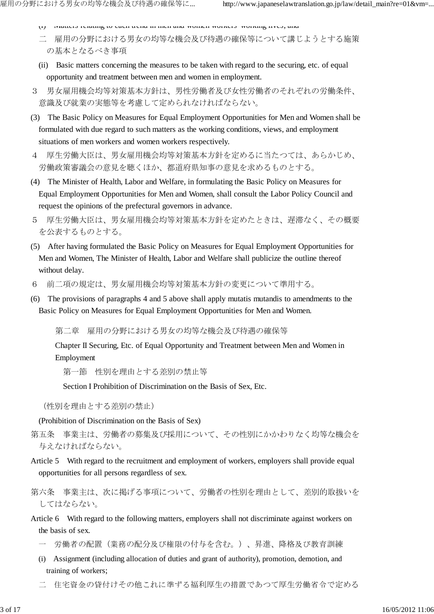- (i) Matters relating to each trend in men and women workers' working lives; and
- 二 雇用の分野における男女の均等な機会及び待遇の確保等について講じようとする施策 の基本となるべき事項
- (ii) Basic matters concerning the measures to be taken with regard to the securing, etc. of equal opportunity and treatment between men and women in employment.
- 3 男女雇用機会均等対策基本方針は、男性労働者及び女性労働者のそれぞれの労働条件、 意識及び就業の実態等を考慮して定められなければならない。
- (3) The Basic Policy on Measures for Equal Employment Opportunities for Men and Women shall be formulated with due regard to such matters as the working conditions, views, and employment situations of men workers and women workers respectively.
- 4 厚生労働大臣は、男女雇用機会均等対策基本方針を定めるに当たつては、あらかじめ、 労働政策審議会の意見を聴くほか、都道府県知事の意見を求めるものとする。
- (4) The Minister of Health, Labor and Welfare, in formulating the Basic Policy on Measures for Equal Employment Opportunities for Men and Women, shall consult the Labor Policy Council and request the opinions of the prefectural governors in advance.
- 5 厚生労働大臣は、男女雇用機会均等対策基本方針を定めたときは、遅滞なく、その概要 を公表するものとする。
- (5) After having formulated the Basic Policy on Measures for Equal Employment Opportunities for Men and Women, The Minister of Health, Labor and Welfare shall publicize the outline thereof without delay.
- 6 前二項の規定は、男女雇用機会均等対策基本方針の変更について準用する。
- (6) The provisions of paragraphs 4 and 5 above shall apply mutatis mutandis to amendments to the Basic Policy on Measures for Equal Employment Opportunities for Men and Women.

第二章 雇用の分野における男女の均等な機会及び待遇の確保等

Chapter II Securing, Etc. of Equal Opportunity and Treatment between Men and Women in Employment

第一節 性別を理由とする差別の禁止等

Section I Prohibition of Discrimination on the Basis of Sex, Etc.

(性別を理由とする差別の禁止)

(Prohibition of Discrimination on the Basis of Sex)

- 第五条 事業主は、労働者の募集及び採用について、その性別にかかわりなく均等な機会を 与えなければならない。
- Article 5 With regard to the recruitment and employment of workers, employers shall provide equal opportunities for all persons regardless of sex.
- 第六条 事業主は、次に掲げる事項について、労働者の性別を理由として、差別的取扱いを してはならない。
- Article 6 With regard to the following matters, employers shall not discriminate against workers on the basis of sex.
	- 一 労働者の配置(業務の配分及び権限の付与を含む。)、昇進、降格及び教育訓練
	- (i) Assignment (including allocation of duties and grant of authority), promotion, demotion, and training of workers;
	- 二 住宅資金の貸付けその他これに準ずる福利厚生の措置であつて厚生労働省令で定める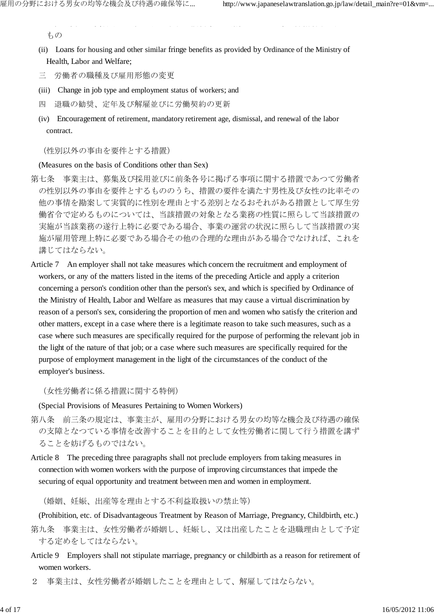もの

(ii) Loans for housing and other similar fringe benefits as provided by Ordinance of the Ministry of Health, Labor and Welfare;

ート<br>コミ<del>に</del>さんの他による福利厚生の場合は、これによって使用されて事業の保全の場合は、これには

- 三 労働者の職種及び雇用形態の変更
- (iii) Change in job type and employment status of workers; and
- 四 退職の勧奨、定年及び解雇並びに労働契約の更新
- (iv) Encouragement of retirement, mandatory retirement age, dismissal, and renewal of the labor contract.

(性別以外の事由を要件とする措置)

(Measures on the basis of Conditions other than Sex)

- 第七条 事業主は、募集及び採用並びに前条各号に掲げる事項に関する措置であつて労働者 の性別以外の事由を要件とするもののうち、措置の要件を満たす男性及び女性の比率その 他の事情を勘案して実質的に性別を理由とする差別となるおそれがある措置として厚生労 働省令で定めるものについては、当該措置の対象となる業務の性質に照らして当該措置の 実施が当該業務の遂行上特に必要である場合、事業の運営の状況に照らして当該措置の実 施が雇用管理上特に必要である場合その他の合理的な理由がある場合でなければ、これを 講じてはならない。
- Article 7 An employer shall not take measures which concern the recruitment and employment of workers, or any of the matters listed in the items of the preceding Article and apply a criterion concerning a person's condition other than the person's sex, and which is specified by Ordinance of the Ministry of Health, Labor and Welfare as measures that may cause a virtual discrimination by reason of a person's sex, considering the proportion of men and women who satisfy the criterion and other matters, except in a case where there is a legitimate reason to take such measures, such as a case where such measures are specifically required for the purpose of performing the relevant job in the light of the nature of that job; or a case where such measures are specifically required for the purpose of employment management in the light of the circumstances of the conduct of the employer's business.

(女性労働者に係る措置に関する特例)

(Special Provisions of Measures Pertaining to Women Workers)

- 第八条 前三条の規定は、事業主が、雇用の分野における男女の均等な機会及び待遇の確保 の支障となつている事情を改善することを目的として女性労働者に関して行う措置を講ず ることを妨げるものではない。
- Article 8 The preceding three paragraphs shall not preclude employers from taking measures in connection with women workers with the purpose of improving circumstances that impede the securing of equal opportunity and treatment between men and women in employment.

(婚姻、妊娠、出産等を理由とする不利益取扱いの禁止等)

(Prohibition, etc. of Disadvantageous Treatment by Reason of Marriage, Pregnancy, Childbirth, etc.)

- 第九条 事業主は、女性労働者が婚姻し、妊娠し、又は出産したことを退職理由として予定 する定めをしてはならない。
- Article 9 Employers shall not stipulate marriage, pregnancy or childbirth as a reason for retirement of women workers.
- 2 事業主は、女性労働者が婚姻したことを理由として、解雇してはならない。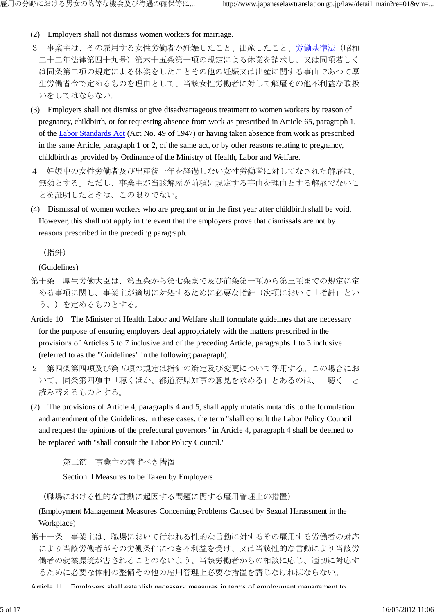- (2) Employers shall not dismiss women workers for marriage.
- 3 事業主は、その雇用する女性労働者が妊娠したこと、出産したこと、労働基準法(昭和 二十二年法律第四十九号)第六十五条第一項の規定による休業を請求し、又は同項若しく は同条第二項の規定による休業をしたことその他の妊娠又は出産に関する事由であつて厚 生労働省令で定めるものを理由として、当該女性労働者に対して解雇その他不利益な取扱 いをしてはならない。
- (3) Employers shall not dismiss or give disadvantageous treatment to women workers by reason of pregnancy, childbirth, or for requesting absence from work as prescribed in Article 65, paragraph 1, of the Labor Standards Act (Act No. 49 of 1947) or having taken absence from work as prescribed in the same Article, paragraph 1 or 2, of the same act, or by other reasons relating to pregnancy, childbirth as provided by Ordinance of the Ministry of Health, Labor and Welfare.
- 4 妊娠中の女性労働者及び出産後一年を経過しない女性労働者に対してなされた解雇は、 無効とする。ただし、事業主が当該解雇が前項に規定する事由を理由とする解雇でないこ とを証明したときは、この限りでない。
- (4) Dismissal of women workers who are pregnant or in the first year after childbirth shall be void. However, this shall not apply in the event that the employers prove that dismissals are not by reasons prescribed in the preceding paragraph.

(指針)

(Guidelines)

- 第十条 厚生労働大臣は、第五条から第七条まで及び前条第一項から第三項までの規定に定 める事項に関し、事業主が適切に対処するために必要な指針(次項において「指針」とい う。)を定めるものとする。
- Article 10 The Minister of Health, Labor and Welfare shall formulate guidelines that are necessary for the purpose of ensuring employers deal appropriately with the matters prescribed in the provisions of Articles 5 to 7 inclusive and of the preceding Article, paragraphs 1 to 3 inclusive (referred to as the "Guidelines" in the following paragraph).
- 2 第四条第四項及び第五項の規定は指針の策定及び変更について準用する。この場合にお いて、同条第四項中「聴くほか、都道府県知事の意見を求める」とあるのは、「聴く」と 読み替えるものとする。
- (2) The provisions of Article 4, paragraphs 4 and 5, shall apply mutatis mutandis to the formulation and amendment of the Guidelines. In these cases, the term "shall consult the Labor Policy Council and request the opinions of the prefectural governors" in Article 4, paragraph 4 shall be deemed to be replaced with "shall consult the Labor Policy Council."

第二節 事業主の講ずべき措置

Section II Measures to be Taken by Employers

(職場における性的な言動に起因する問題に関する雇用管理上の措置)

## (Employment Management Measures Concerning Problems Caused by Sexual Harassment in the Workplace)

第十一条 事業主は、職場において行われる性的な言動に対するその雇用する労働者の対応 により当該労働者がその労働条件につき不利益を受け、又は当該性的な言動により当該労 働者の就業環境が害されることのないよう、当該労働者からの相談に応じ、適切に対応す るために必要な体制の整備その他の雇用管理上必要な措置を講じなければならない。

Article 11 Employers shall establish necessary measures in terms of employment management to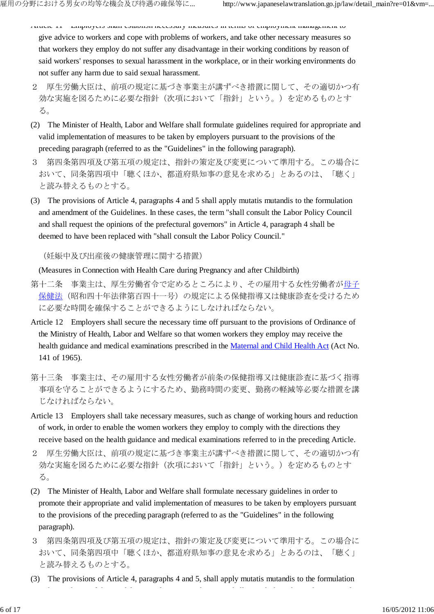- Article 11 Employers shall establish necessary measures in terms of employment management to give advice to workers and cope with problems of workers, and take other necessary measures so that workers they employ do not suffer any disadvantage in their working conditions by reason of said workers' responses to sexual harassment in the workplace, or in their working environments do not suffer any harm due to said sexual harassment.
- 2 厚生労働大臣は、前項の規定に基づき事業主が講ずべき措置に関して、その適切かつ有 効な実施を図るために必要な指針(次項において「指針」という。)を定めるものとす る。
- (2) The Minister of Health, Labor and Welfare shall formulate guidelines required for appropriate and valid implementation of measures to be taken by employers pursuant to the provisions of the preceding paragraph (referred to as the "Guidelines" in the following paragraph).
- 3 第四条第四項及び第五項の規定は、指針の策定及び変更について準用する。この場合に おいて、同条第四項中「聴くほか、都道府県知事の意見を求める」とあるのは、「聴く」 と読み替えるものとする。
- (3) The provisions of Article 4, paragraphs 4 and 5 shall apply mutatis mutandis to the formulation and amendment of the Guidelines. In these cases, the term "shall consult the Labor Policy Council and shall request the opinions of the prefectural governors" in Article 4, paragraph 4 shall be deemed to have been replaced with "shall consult the Labor Policy Council."

(妊娠中及び出産後の健康管理に関する措置)

(Measures in Connection with Health Care during Pregnancy and after Childbirth)

- 第十二条 事業主は、厚生労働省令で定めるところにより、その雇用する女性労働者が母子 保健法(昭和四十年法律第百四十一号)の規定による保健指導又は健康診査を受けるため に必要な時間を確保することができるようにしなければならない。
- Article 12 Employers shall secure the necessary time off pursuant to the provisions of Ordinance of the Ministry of Health, Labor and Welfare so that women workers they employ may receive the health guidance and medical examinations prescribed in the Maternal and Child Health Act (Act No. 141 of 1965).
- 第十三条 事業主は、その雇用する女性労働者が前条の保健指導又は健康診査に基づく指導 事項を守ることができるようにするため、勤務時間の変更、勤務の軽減等必要な措置を講 じなければならない。
- Article 13 Employers shall take necessary measures, such as change of working hours and reduction of work, in order to enable the women workers they employ to comply with the directions they receive based on the health guidance and medical examinations referred to in the preceding Article.
- 2 厚生労働大臣は、前項の規定に基づき事業主が講ずべき措置に関して、その適切かつ有 効な実施を図るために必要な指針(次項において「指針」という。)を定めるものとす る。
- (2) The Minister of Health, Labor and Welfare shall formulate necessary guidelines in order to promote their appropriate and valid implementation of measures to be taken by employers pursuant to the provisions of the preceding paragraph (referred to as the "Guidelines" in the following paragraph).
- 3 第四条第四項及び第五項の規定は、指針の策定及び変更について準用する。この場合に おいて、同条第四項中「聴くほか、都道府県知事の意見を求める」とあるのは、「聴く」 と読み替えるものとする。
- (3) The provisions of Article 4, paragraphs 4 and 5, shall apply mutatis mutandis to the formulation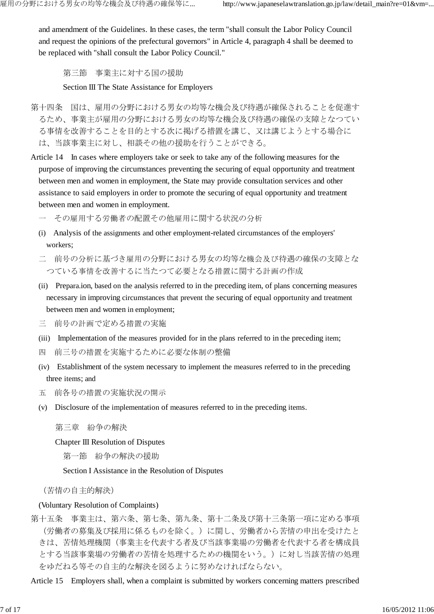and amendment of the Guidelines. In these cases, the term "shall consult the Labor Policy Council and request the opinions of the prefectural governors" in Article 4, paragraph 4 shall be deemed to be replaced with "shall consult the Labor Policy Council."

第三節 事業主に対する国の援助

Section III The State Assistance for Employers

- 第十四条 国は、雇用の分野における男女の均等な機会及び待遇が確保されることを促進す るため、事業主が雇用の分野における男女の均等な機会及び待遇の確保の支障となつてい る事情を改善することを目的とする次に掲げる措置を講じ、又は講じようとする場合に は、当該事業主に対し、相談その他の援助を行うことができる。
- Article 14 In cases where employers take or seek to take any of the following measures for the purpose of improving the circumstances preventing the securing of equal opportunity and treatment between men and women in employment, the State may provide consultation services and other assistance to said employers in order to promote the securing of equal opportunity and treatment between men and women in employment.
	- 一 その雇用する労働者の配置その他雇用に関する状況の分析
	- (i) Analysis of the assignments and other employment-related circumstances of the employers' workers;
	- 二 前号の分析に基づき雇用の分野における男女の均等な機会及び待遇の確保の支障とな つている事情を改善するに当たつて必要となる措置に関する計画の作成
	- (ii) Prepara.ion, based on the analysis referred to in the preceding item, of plans concerning measures necessary in improving circumstances that prevent the securing of equal opportunity and treatment between men and women in employment;
	- 三 前号の計画で定める措置の実施
	- (iii) Implementation of the measures provided for in the plans referred to in the preceding item;
	- 四 前三号の措置を実施するために必要な体制の整備
	- (iv) Establishment of the system necessary to implement the measures referred to in the preceding three items; and
	- 五 前各号の措置の実施状況の開示
	- (v) Disclosure of the implementation of measures referred to in the preceding items.

第三章 紛争の解決

Chapter III Resolution of Disputes

第一節 紛争の解決の援助

Section I Assistance in the Resolution of Disputes

(苦情の自主的解決)

## (Voluntary Resolution of Complaints)

第十五条 事業主は、第六条、第七条、第九条、第十二条及び第十三条第一項に定める事項 (労働者の募集及び採用に係るものを除く。)に関し、労働者から苦情の申出を受けたと きは、苦情処理機関(事業主を代表する者及び当該事業場の労働者を代表する者を構成員 とする当該事業場の労働者の苦情を処理するための機関をいう。)に対し当該苦情の処理 をゆだねる等その自主的な解決を図るように努めなければならない。

Article 15 Employers shall, when a complaint is submitted by workers concerning matters prescribed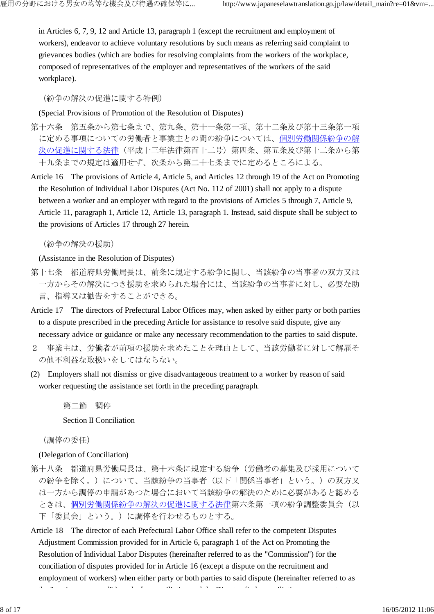in Articles 6, 7, 9, 12 and Article 13, paragraph 1 (except the recruitment and employment of workers), endeavor to achieve voluntary resolutions by such means as referring said complaint to grievances bodies (which are bodies for resolving complaints from the workers of the workplace, composed of representatives of the employer and representatives of the workers of the said workplace).

(紛争の解決の促進に関する特例)

(Special Provisions of Promotion of the Resolution of Disputes)

- 第十六条 第五条から第七条まで、第九条、第十一条第一項、第十二条及び第十三条第一項 に定める事項についての労働者と事業主との間の紛争については、個別労働関係紛争の解 決の促進に関する法律(平成十三年法律第百十二号)第四条、第五条及び第十二条から第 十九条までの規定は適用せず、次条から第二十七条までに定めるところによる。
- Article 16 The provisions of Article 4, Article 5, and Articles 12 through 19 of the Act on Promoting the Resolution of Individual Labor Disputes (Act No. 112 of 2001) shall not apply to a dispute between a worker and an employer with regard to the provisions of Articles 5 through 7, Article 9, Article 11, paragraph 1, Article 12, Article 13, paragraph 1. Instead, said dispute shall be subject to the provisions of Articles 17 through 27 herein.

(紛争の解決の援助)

(Assistance in the Resolution of Disputes)

- 第十七条 都道府県労働局長は、前条に規定する紛争に関し、当該紛争の当事者の双方又は 一方からその解決につき援助を求められた場合には、当該紛争の当事者に対し、必要な助 言、指導又は勧告をすることができる。
- Article 17 The directors of Prefectural Labor Offices may, when asked by either party or both parties to a dispute prescribed in the preceding Article for assistance to resolve said dispute, give any necessary advice or guidance or make any necessary recommendation to the parties to said dispute.
- 2 事業主は、労働者が前項の援助を求めたことを理由として、当該労働者に対して解雇そ の他不利益な取扱いをしてはならない。
- (2) Employers shall not dismiss or give disadvantageous treatment to a worker by reason of said worker requesting the assistance set forth in the preceding paragraph.

第二節 調停

Section II Conciliation

(調停の委任)

(Delegation of Conciliation)

- 第十八条 都道府県労働局長は、第十六条に規定する紛争(労働者の募集及び採用について の紛争を除く。)について、当該紛争の当事者(以下「関係当事者」という。)の双方又 は一方から調停の申請があつた場合において当該紛争の解決のために必要があると認める ときは、個別労働関係紛争の解決の促進に関する法律第六条第一項の紛争調整委員会(以 下「委員会」という。)に調停を行わせるものとする。
- Article 18 The director of each Prefectural Labor Office shall refer to the competent Disputes Adjustment Commission provided for in Article 6, paragraph 1 of the Act on Promoting the Resolution of Individual Labor Disputes (hereinafter referred to as the "Commission") for the conciliation of disputes provided for in Article 16 (except a dispute on the recruitment and employment of workers) when either party or both parties to said dispute (hereinafter referred to as

the "parties concerned" ) apply for conciliation and the Director finds conciliation necessary to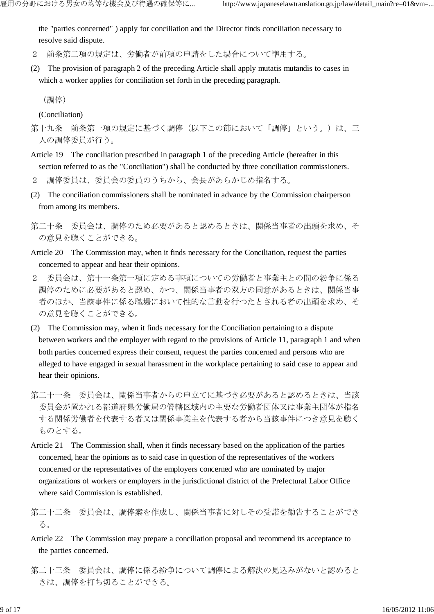the "parties concerned" ) apply for conciliation and the Director finds conciliation necessary to resolve said dispute.

- 2 前条第二項の規定は、労働者が前項の申請をした場合について準用する。
- (2) The provision of paragraph 2 of the preceding Article shall apply mutatis mutandis to cases in which a worker applies for conciliation set forth in the preceding paragraph.

(調停)

(Conciliation)

- 第十九条 前条第一項の規定に基づく調停(以下この節において「調停」という。)は、三 人の調停委員が行う。
- Article 19 The conciliation prescribed in paragraph 1 of the preceding Article (hereafter in this section referred to as the "Conciliation") shall be conducted by three conciliation commissioners.
- 2 調停委員は、委員会の委員のうちから、会長があらかじめ指名する。
- (2) The conciliation commissioners shall be nominated in advance by the Commission chairperson from among its members.
- 第二十条 委員会は、調停のため必要があると認めるときは、関係当事者の出頭を求め、そ の意見を聴くことができる。
- Article 20 The Commission may, when it finds necessary for the Conciliation, request the parties concerned to appear and hear their opinions.
- 2 委員会は、第十一条第一項に定める事項についての労働者と事業主との間の紛争に係る 調停のために必要があると認め、かつ、関係当事者の双方の同意があるときは、関係当事 者のほか、当該事件に係る職場において性的な言動を行つたとされる者の出頭を求め、そ の意見を聴くことができる。
- (2) The Commission may, when it finds necessary for the Conciliation pertaining to a dispute between workers and the employer with regard to the provisions of Article 11, paragraph 1 and when both parties concerned express their consent, request the parties concerned and persons who are alleged to have engaged in sexual harassment in the workplace pertaining to said case to appear and hear their opinions.
- 第二十一条 委員会は、関係当事者からの申立てに基づき必要があると認めるときは、当該 委員会が置かれる都道府県労働局の管轄区域内の主要な労働者団体又は事業主団体が指名 する関係労働者を代表する者又は関係事業主を代表する者から当該事件につき意見を聴く ものとする。
- Article 21 The Commission shall, when it finds necessary based on the application of the parties concerned, hear the opinions as to said case in question of the representatives of the workers concerned or the representatives of the employers concerned who are nominated by major organizations of workers or employers in the jurisdictional district of the Prefectural Labor Office where said Commission is established.
- 第二十二条 委員会は、調停案を作成し、関係当事者に対しその受諾を勧告することができ る。
- Article 22 The Commission may prepare a conciliation proposal and recommend its acceptance to the parties concerned.
- 第二十三条 委員会は、調停に係る紛争について調停による解決の見込みがないと認めると きは、調停を打ち切ることができる。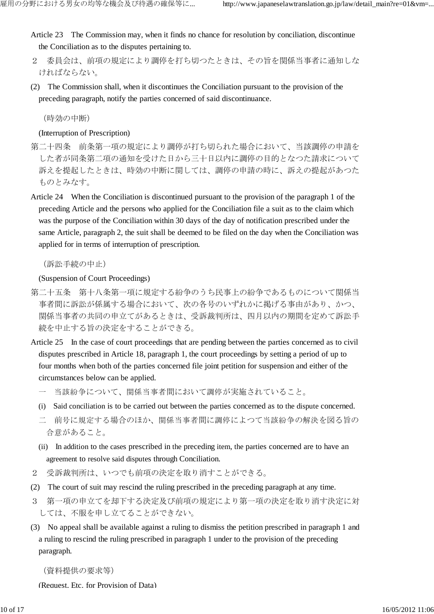Article 23 The Commission may, when it finds no chance for resolution by conciliation, discontinue the Conciliation as to the disputes pertaining to.

- 2 委員会は、前項の規定により調停を打ち切つたときは、その旨を関係当事者に通知しな ければならない。
- (2) The Commission shall, when it discontinues the Conciliation pursuant to the provision of the preceding paragraph, notify the parties concerned of said discontinuance.

(時効の中断)

(Interruption of Prescription)

- 第二十四条 前条第一項の規定により調停が打ち切られた場合において、当該調停の申請を した者が同条第二項の通知を受けた日から三十日以内に調停の目的となつた請求について 訴えを提起したときは、時効の中断に関しては、調停の申請の時に、訴えの提起があつた ものとみなす。
- Article 24 When the Conciliation is discontinued pursuant to the provision of the paragraph 1 of the preceding Article and the persons who applied for the Conciliation file a suit as to the claim which was the purpose of the Conciliation within 30 days of the day of notification prescribed under the same Article, paragraph 2, the suit shall be deemed to be filed on the day when the Conciliation was applied for in terms of interruption of prescription.

(訴訟手続の中止)

(Suspension of Court Proceedings)

- 第二十五条 第十八条第一項に規定する紛争のうち民事上の紛争であるものについて関係当 事者間に訴訟が係属する場合において、次の各号のいずれかに掲げる事由があり、かつ、 関係当事者の共同の申立てがあるときは、受訴裁判所は、四月以内の期間を定めて訴訟手 続を中止する旨の決定をすることができる。
- Article 25 In the case of court proceedings that are pending between the parties concerned as to civil disputes prescribed in Article 18, paragraph 1, the court proceedings by setting a period of up to four months when both of the parties concerned file joint petition for suspension and either of the circumstances below can be applied.
	- 一 当該紛争について、関係当事者間において調停が実施されていること。
	- (i) Said conciliation is to be carried out between the parties concerned as to the dispute concerned.
	- 二 前号に規定する場合のほか、関係当事者間に調停によつて当該紛争の解決を図る旨の 合意があること。
	- (ii) In addition to the cases prescribed in the preceding item, the parties concerned are to have an agreement to resolve said disputes through Conciliation.
- 2 受訴裁判所は、いつでも前項の決定を取り消すことができる。
- (2) The court of suit may rescind the ruling prescribed in the preceding paragraph at any time.
- 3 第一項の申立てを却下する決定及び前項の規定により第一項の決定を取り消す決定に対 しては、不服を申し立てることができない。
- (3) No appeal shall be available against a ruling to dismiss the petition prescribed in paragraph 1 and a ruling to rescind the ruling prescribed in paragraph 1 under to the provision of the preceding paragraph.

(資料提供の要求等)

(Request, Etc. for Provision of Data)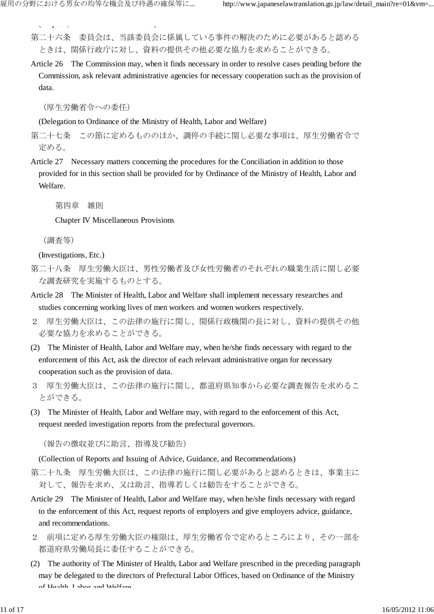(Request, Etc. for Provision of Data)

第二十六条 委員会は、当該委員会に係属している事件の解決のために必要があると認める ときは、関係行政庁に対し、資料の提供その他必要な協力を求めることができる。

Article 26 The Commission may, when it finds necessary in order to resolve cases pending before the Commission, ask relevant administrative agencies for necessary cooperation such as the provision of data.

(厚生労働省令への委任)

(Delegation to Ordinance of the Ministry of Health, Labor and Welfare)

第二十七条 この節に定めるもののほか、調停の手続に関し必要な事項は、厚生労働省令で 定める。

Article 27 Necessary matters concerning the procedures for the Conciliation in addition to those provided for in this section shall be provided for by Ordinance of the Ministry of Health, Labor and Welfare.

第四章 雑則

Chapter IV Miscellaneous Provisions

(調査等)

(Investigations, Etc.)

- 第二十八条 厚生労働大臣は、男性労働者及び女性労働者のそれぞれの職業生活に関し必要 な調査研究を実施するものとする。
- Article 28 The Minister of Health, Labor and Welfare shall implement necessary researches and studies concerning working lives of men workers and women workers respectively.
- 2 厚生労働大臣は、この法律の施行に関し、関係行政機関の長に対し、資料の提供その他 必要な協力を求めることができる。
- (2) The Minister of Health, Labor and Welfare may, when he/she finds necessary with regard to the enforcement of this Act, ask the director of each relevant administrative organ for necessary cooperation such as the provision of data.
- 3 厚生労働大臣は、この法律の施行に関し、都道府県知事から必要な調査報告を求めるこ とができる。
- (3) The Minister of Health, Labor and Welfare may, with regard to the enforcement of this Act, request needed investigation reports from the prefectural governors.

(報告の徴収並びに助言、指導及び勧告)

(Collection of Reports and Issuing of Advice, Guidance, and Recommendations)

第二十九条 厚生労働大臣は、この法律の施行に関し必要があると認めるときは、事業主に 対して、報告を求め、又は助言、指導若しくは勧告をすることができる。

- Article 29 The Minister of Health, Labor and Welfare may, when he/she finds necessary with regard to the enforcement of this Act, request reports of employers and give employers advice, guidance, and recommendations.
- 2 前項に定める厚生労働大臣の権限は、厚生労働省令で定めるところにより、その一部を 都道府県労働局長に委任することができる。
- (2) The authority of The Minister of Health, Labor and Welfare prescribed in the preceding paragraph may be delegated to the directors of Prefectural Labor Offices, based on Ordinance of the Ministry of Health, Labor and Welfare.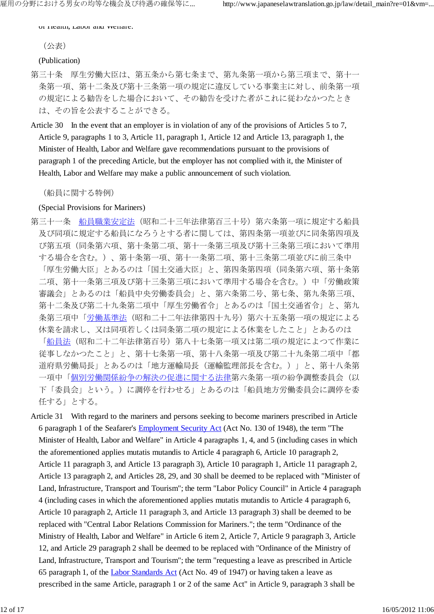of Health, Labor and Welfare.

(公表)

(Publication)

- 第三十条 厚生労働大臣は、第五条から第七条まで、第九条第一項から第三項まで、第十一 条第一項、第十二条及び第十三条第一項の規定に違反している事業主に対し、前条第一項 の規定による勧告をした場合において、その勧告を受けた者がこれに従わなかつたとき は、その旨を公表することができる。
- Article 30 In the event that an employer is in violation of any of the provisions of Articles 5 to 7, Article 9, paragraphs 1 to 3, Article 11, paragraph 1, Article 12 and Article 13, paragraph 1, the Minister of Health, Labor and Welfare gave recommendations pursuant to the provisions of paragraph 1 of the preceding Article, but the employer has not complied with it, the Minister of Health, Labor and Welfare may make a public announcement of such violation.

(船員に関する特例)

(Special Provisions for Mariners)

- 第三十一条 船員職業安定法(昭和二十三年法律第百三十号)第六条第一項に規定する船員 及び同項に規定する船員になろうとする者に関しては、第四条第一項並びに同条第四項及 び第五項(同条第六項、第十条第二項、第十一条第三項及び第十三条第三項において準用 する場合を含む。)、第十条第一項、第十一条第二項、第十三条第二項並びに前三条中 「厚生労働大臣」とあるのは「国土交通大臣」と、第四条第四項(同条第六項、第十条第 二項、第十一条第三項及び第十三条第三項において準用する場合を含む。)中「労働政策 審議会」とあるのは「船員中央労働委員会」と、第六条第二号、第七条、第九条第三項、 第十二条及び第二十九条第二項中「厚生労働省令」とあるのは「国土交通省令」と、第九 条第三項中「労働基準法(昭和二十二年法律第四十九号)第六十五条第一項の規定による 休業を請求し、又は同項若しくは同条第二項の規定による休業をしたこと」とあるのは 「船員法(昭和二十二年法律第百号)第八十七条第一項又は第二項の規定によつて作業に 従事しなかつたこと」と、第十七条第一項、第十八条第一項及び第二十九条第二項中「都 道府県労働局長」とあるのは「地方運輸局長(運輸監理部長を含む。)」と、第十八条第 一項中「個別労働関係紛争の解決の促進に関する法律第六条第一項の紛争調整委員会(以 下「委員会」という。)に調停を行わせる」とあるのは「船員地方労働委員会に調停を委 任する」とする。
- Article 31 With regard to the mariners and persons seeking to become mariners prescribed in Article 6 paragraph 1 of the Seafarer's Employment Security Act (Act No. 130 of 1948), the term "The Minister of Health, Labor and Welfare" in Article 4 paragraphs 1, 4, and 5 (including cases in which the aforementioned applies mutatis mutandis to Article 4 paragraph 6, Article 10 paragraph 2, Article 11 paragraph 3, and Article 13 paragraph 3), Article 10 paragraph 1, Article 11 paragraph 2, Article 13 paragraph 2, and Articles 28, 29, and 30 shall be deemed to be replaced with "Minister of Land, Infrastructure, Transport and Tourism"; the term "Labor Policy Council" in Article 4 paragraph 4 (including cases in which the aforementioned applies mutatis mutandis to Article 4 paragraph 6, Article 10 paragraph 2, Article 11 paragraph 3, and Article 13 paragraph 3) shall be deemed to be replaced with "Central Labor Relations Commission for Mariners."; the term "Ordinance of the Ministry of Health, Labor and Welfare" in Article 6 item 2, Article 7, Article 9 paragraph 3, Article 12, and Article 29 paragraph 2 shall be deemed to be replaced with "Ordinance of the Ministry of Land, Infrastructure, Transport and Tourism"; the term "requesting a leave as prescribed in Article 65 paragraph 1, of the Labor Standards Act (Act No. 49 of 1947) or having taken a leave as prescribed in the same Article, paragraph 1 or 2 of the same Act" in Article 9, paragraph 3 shall be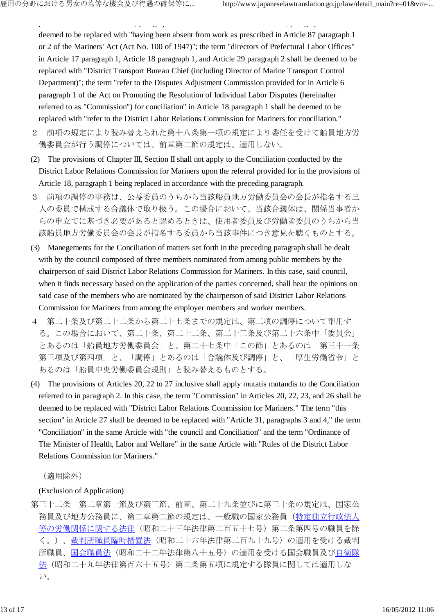deemed to be replaced with "having been absent from work as prescribed in Article 87 paragraph 1 or 2 of the Mariners' Act (Act No. 100 of 1947)"; the term "directors of Prefectural Labor Offices" in Article 17 paragraph 1, Article 18 paragraph 1, and Article 29 paragraph 2 shall be deemed to be replaced with "District Transport Bureau Chief (including Director of Marine Transport Control Department)"; the term "refer to the Disputes Adjustment Commission provided for in Article 6 paragraph 1 of the Act on Promoting the Resolution of Individual Labor Disputes (hereinafter referred to as "Commission") for conciliation" in Article 18 paragraph 1 shall be deemed to be replaced with "refer to the District Labor Relations Commission for Mariners for conciliation."

prescribed in the same Article, paragraph 1 or 2 of the same Act" in Article 9, paragraph 3 shall be

- 2 前項の規定により読み替えられた第十八条第一項の規定により委任を受けて船員地方労 働委員会が行う調停については、前章第二節の規定は、適用しない。
- (2) The provisions of Chapter III, Section II shall not apply to the Conciliation conducted by the District Labor Relations Commission for Mariners upon the referral provided for in the provisions of Article 18, paragraph 1 being replaced in accordance with the preceding paragraph.
- 3 前項の調停の事務は、公益委員のうちから当該船員地方労働委員会の会長が指名する三 人の委員で構成する合議体で取り扱う。この場合において、当該合議体は、関係当事者か らの申立てに基づき必要があると認めるときは、使用者委員及び労働者委員のうちから当 該船員地方労働委員会の会長が指名する委員から当該事件につき意見を聴くものとする。
- (3) Manegements for the Conciliation of matters set forth in the preceding paragraph shall be dealt with by the council composed of three members nominated from among public members by the chairperson of said District Labor Relations Commission for Mariners. In this case, said council, when it finds necessary based on the application of the parties concerned, shall hear the opinions on said case of the members who are nominated by the chairperson of said District Labor Relations Commission for Mariners from among the employer members and worker members.
- 4 第二十条及び第二十二条から第二十七条までの規定は、第二項の調停について準用す る。この場合において、第二十条、第二十二条、第二十三条及び第二十六条中「委員会」 とあるのは「船員地方労働委員会」と、第二十七条中「この節」とあるのは「第三十一条 第三項及び第四項」と、「調停」とあるのは「合議体及び調停」と、「厚生労働省令」と あるのは「船員中央労働委員会規則」と読み替えるものとする。
- (4) The provisions of Articles 20, 22 to 27 inclusive shall apply mutatis mutandis to the Conciliation referred to in paragraph 2. In this case, the term "Commission" in Articles 20, 22, 23, and 26 shall be deemed to be replaced with "District Labor Relations Commission for Mariners." The term "this section" in Article 27 shall be deemed to be replaced with "Article 31, paragraphs 3 and 4," the term "Conciliation" in the same Article with "the council and Conciliation" and the term "Ordinance of The Minister of Health, Labor and Welfare" in the same Article with "Rules of the District Labor Relations Commission for Mariners."

(適用除外)

## (Exclusion of Application)

第三十二条 第二章第一節及び第三節、前章、第二十九条並びに第三十条の規定は、国家公 務員及び地方公務員に、第二章第二節の規定は、一般職の国家公務員(特定独立行政法人 等の労働関係に関する法律(昭和二十三年法律第二百五十七号)第二条第四号の職員を除 く。)、裁判所職員臨時措置法(昭和二十六年法律第二百九十九号)の適用を受ける裁判 所職員、国会職員法(昭和二十二年法律第八十五号)の適用を受ける国会職員及び自衛隊 法(昭和二十九年法律第百六十五号)第二条第五項に規定する隊員に関しては適用しな い。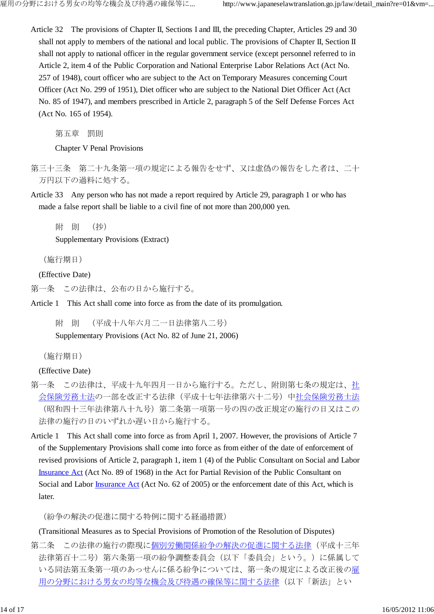Article 32 The provisions of Chapter II, Sections I and III, the preceding Chapter, Articles 29 and 30 shall not apply to members of the national and local public. The provisions of Chapter II, Section II shall not apply to national officer in the regular government service (except personnel referred to in Article 2, item 4 of the Public Corporation and National Enterprise Labor Relations Act (Act No. 257 of 1948), court officer who are subject to the Act on Temporary Measures concerning Court Officer (Act No. 299 of 1951), Diet officer who are subject to the National Diet Officer Act (Act No. 85 of 1947), and members prescribed in Article 2, paragraph 5 of the Self Defense Forces Act (Act No. 165 of 1954).

第五章 罰則

Chapter V Penal Provisions

- 第三十三条 第二十九条第一項の規定による報告をせず、又は虚偽の報告をした者は、二十 万円以下の過料に処する。
- Article 33 Any person who has not made a report required by Article 29, paragraph 1 or who has made a false report shall be liable to a civil fine of not more than 200,000 yen.

附 則 (抄)

Supplementary Provisions (Extract)

(施行期日)

(Effective Date)

- 第一条 この法律は、公布の日から施行する。
- Article 1 This Act shall come into force as from the date of its promulgation.

附 則 (平成十八年六月二一日法律第八二号) Supplementary Provisions (Act No. 82 of June 21, 2006)

(施行期日)

(Effective Date)

- 第一条 この法律は、平成十九年四月一日から施行する。ただし、附則第七条の規定は、社 会保険労務士法の一部を改正する法律(平成十七年法律第六十二号)中社会保険労務士法 (昭和四十三年法律第八十九号)第二条第一項第一号の四の改正規定の施行の日又はこの 法律の施行の日のいずれか遅い日から施行する。
- Article 1 This Act shall come into force as from April 1, 2007. However, the provisions of Article 7 of the Supplementary Provisions shall come into force as from either of the date of enforcement of revised provisions of Article 2, paragraph 1, item 1 (4) of the Public Consultant on Social and Labor Insurance Act (Act No. 89 of 1968) in the Act for Partial Revision of the Public Consultant on Social and Labor Insurance Act (Act No. 62 of 2005) or the enforcement date of this Act, which is later.

(紛争の解決の促進に関する特例に関する経過措置)

(Transitional Measures as to Special Provisions of Promotion of the Resolution of Disputes)

第二条 この法律の施行の際現に個別労働関係紛争の解決の促進に関する法律(平成十三年 法律第百十二号)第六条第一項の紛争調整委員会(以下「委員会」という。)に係属して いる同法第五条第一項のあっせんに係る紛争については、第一条の規定による改正後の雇 用の分野における男女の均等な機会及び待遇の確保等に関する法律(以下「新法」とい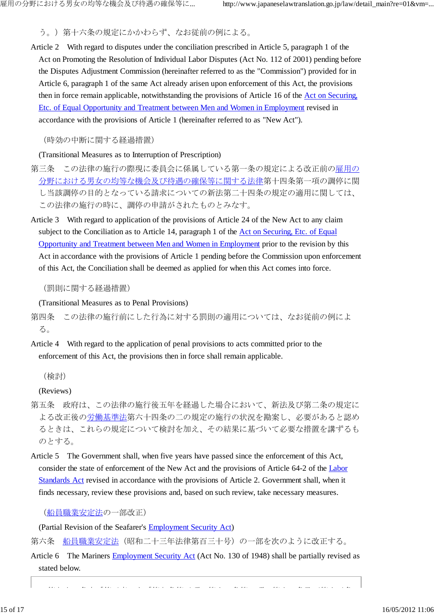う。)第十六条の規定にかかわらず、なお従前の例による。

Article 2 With regard to disputes under the conciliation prescribed in Article 5, paragraph 1 of the Act on Promoting the Resolution of Individual Labor Disputes (Act No. 112 of 2001) pending before the Disputes Adjustment Commission (hereinafter referred to as the "Commission") provided for in Article 6, paragraph 1 of the same Act already arisen upon enforcement of this Act, the provisions then in force remain applicable, notwithstanding the provisions of Article 16 of the Act on Securing, Etc. of Equal Opportunity and Treatment between Men and Women in Employment revised in accordance with the provisions of Article 1 (hereinafter referred to as "New Act").

(時効の中断に関する経過措置)

(Transitional Measures as to Interruption of Prescription)

- 第三条 この法律の施行の際現に委員会に係属している第一条の規定による改正前の雇用の 分野における男女の均等な機会及び待遇の確保等に関する法律第十四条第一項の調停に関 し当該調停の目的となっている請求についての新法第二十四条の規定の適用に関しては、 この法律の施行の時に、調停の申請がされたものとみなす。
- Article 3 With regard to application of the provisions of Article 24 of the New Act to any claim subject to the Conciliation as to Article 14, paragraph 1 of the Act on Securing, Etc. of Equal Opportunity and Treatment between Men and Women in Employment prior to the revision by this Act in accordance with the provisions of Article 1 pending before the Commission upon enforcement of this Act, the Conciliation shall be deemed as applied for when this Act comes into force.

(罰則に関する経過措置)

(Transitional Measures as to Penal Provisions)

第四条 この法律の施行前にした行為に対する罰則の適用については、なお従前の例によ る。

Article 4 With regard to the application of penal provisions to acts committed prior to the enforcement of this Act, the provisions then in force shall remain applicable.

(検討)

(Reviews)

- 第五条 政府は、この法律の施行後五年を経過した場合において、新法及び第二条の規定に よる改正後の労働基準法第六十四条の二の規定の施行の状況を勘案し、必要があると認め るときは、これらの規定について検討を加え、その結果に基づいて必要な措置を講ずるも のとする。
- Article 5 The Government shall, when five years have passed since the enforcement of this Act, consider the state of enforcement of the New Act and the provisions of Article 64-2 of the Labor Standards Act revised in accordance with the provisions of Article 2. Government shall, when it finds necessary, review these provisions and, based on such review, take necessary measures.

(船員職業安定法の一部改正)

(Partial Revision of the Seafarer's Employment Security Act)

第六条 船員職業安定法(昭和二十三年法律第百三十号)の一部を次のように改正する。

Article 6 The Mariners Employment Security Act (Act No. 130 of 1948) shall be partially revised as stated below.

第九十一条中「第三章」を「第九条第三項、第十一条第一項、第十二条及び第十三条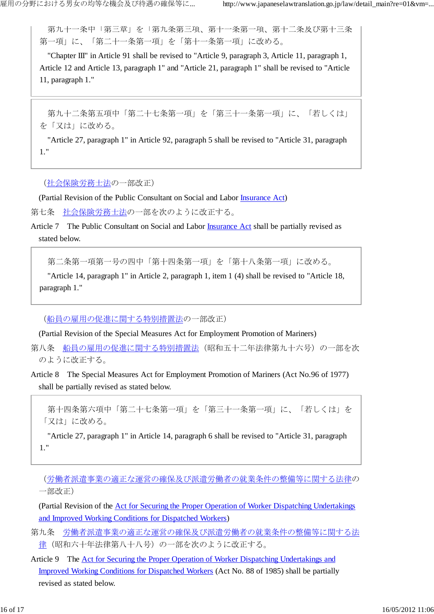第九十一条中「第三章」を「第九条第三項、第十一条第一項、第十二条及び第十三条 第一項」に、「第二十一条第一項」を「第十一条第一項」に改める。

"Chapter III" in Article 91 shall be revised to "Article 9, paragraph 3, Article 11, paragraph 1, Article 12 and Article 13, paragraph 1" and "Article 21, paragraph 1" shall be revised to "Article 11, paragraph 1."

第九十二条第五項中「第二十七条第一項」を「第三十一条第一項」に、「若しくは」 を「又は」に改める。

"Article 27, paragraph 1" in Article 92, paragraph 5 shall be revised to "Article 31, paragraph 1."

(社会保険労務士法の一部改正)

(Partial Revision of the Public Consultant on Social and Labor Insurance Act)

第七条 社会保険労務士法の一部を次のように改正する。

Article 7 The Public Consultant on Social and Labor Insurance Act shall be partially revised as stated below.

第二条第一項第一号の四中「第十四条第一項」を「第十八条第一項」に改める。

"Article 14, paragraph 1" in Article 2, paragraph 1, item 1 (4) shall be revised to "Article 18, paragraph 1."

(船員の雇用の促進に関する特別措置法の一部改正)

(Partial Revision of the Special Measures Act for Employment Promotion of Mariners)

第八条 船員の雇用の促進に関する特別措置法(昭和五十二年法律第九十六号)の一部を次 のように改正する。

Article 8 The Special Measures Act for Employment Promotion of Mariners (Act No.96 of 1977) shall be partially revised as stated below.

第十四条第六項中「第二十七条第一項」を「第三十一条第一項」に、「若しくは」を 「又は」に改める。

"Article 27, paragraph 1" in Article 14, paragraph 6 shall be revised to "Article 31, paragraph 1."

(労働者派遣事業の適正な運営の確保及び派遣労働者の就業条件の整備等に関する法律の 一部改正)

(Partial Revision of the Act for Securing the Proper Operation of Worker Dispatching Undertakings and Improved Working Conditions for Dispatched Workers)

- 第九条 労働者派遣事業の適正な運営の確保及び派遣労働者の就業条件の整備等に関する法 律(昭和六十年法律第八十八号)の一部を次のように改正する。
- Article 9 The Act for Securing the Proper Operation of Worker Dispatching Undertakings and Improved Working Conditions for Dispatched Workers (Act No. 88 of 1985) shall be partially revised as stated below.